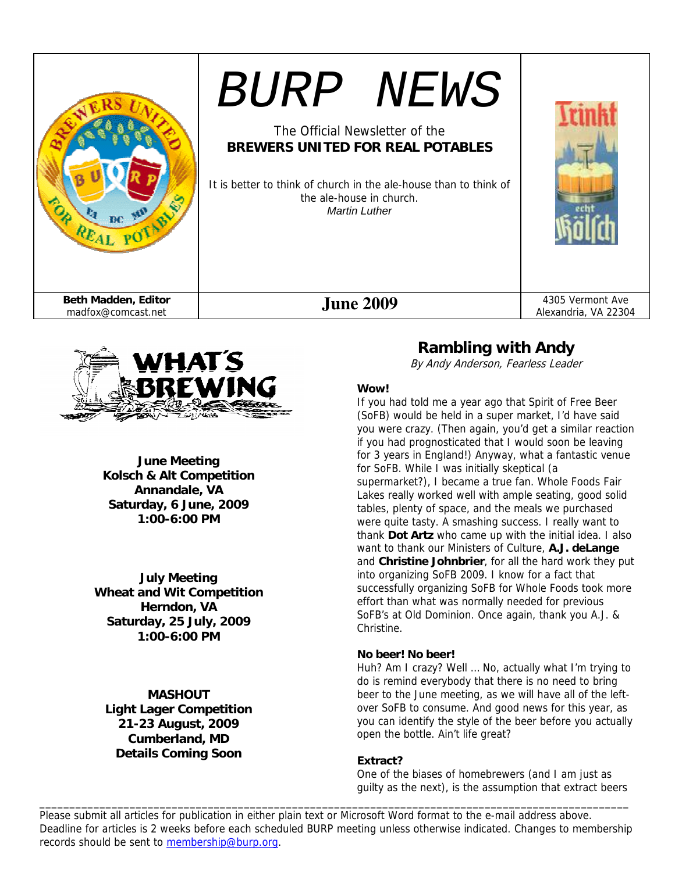



**June Meeting Kolsch & Alt Competition Annandale, VA Saturday, 6 June, 2009 1:00-6:00 PM** 

**July Meeting Wheat and Wit Competition Herndon, VA Saturday, 25 July, 2009 1:00-6:00 PM** 

**MASHOUT Light Lager Competition 21-23 August, 2009 Cumberland, MD Details Coming Soon** 

## **Rambling with Andy**

By Andy Anderson, Fearless Leader

### **Wow!**

If you had told me a year ago that Spirit of Free Beer (SoFB) would be held in a super market, I'd have said you were crazy. (Then again, you'd get a similar reaction if you had prognosticated that I would soon be leaving for 3 years in England!) Anyway, what a fantastic venue for SoFB. While I was initially skeptical (a supermarket?), I became a true fan. Whole Foods Fair Lakes really worked well with ample seating, good solid tables, plenty of space, and the meals we purchased were quite tasty. A smashing success. I really want to thank **Dot Artz** who came up with the initial idea. I also want to thank our Ministers of Culture, **A.J. deLange** and **Christine Johnbrier**, for all the hard work they put into organizing SoFB 2009. I know for a fact that successfully organizing SoFB for Whole Foods took more effort than what was normally needed for previous SoFB's at Old Dominion. Once again, thank you A.J. & Christine.

### **No beer! No beer!**

Huh? Am I crazy? Well … No, actually what I'm trying to do is remind everybody that there is no need to bring beer to the June meeting, as we will have all of the leftover SoFB to consume. And good news for this year, as you can identify the style of the beer before you actually open the bottle. Ain't life great?

#### **Extract?**

One of the biases of homebrewers (and I am just as guilty as the next), is the assumption that extract beers

Please submit all articles for publication in either plain text or Microsoft Word format to the e-mail address above. Deadline for articles is 2 weeks before each scheduled BURP meeting unless otherwise indicated. Changes to membership records should be sent to membership@burp.org.

\_\_\_\_\_\_\_\_\_\_\_\_\_\_\_\_\_\_\_\_\_\_\_\_\_\_\_\_\_\_\_\_\_\_\_\_\_\_\_\_\_\_\_\_\_\_\_\_\_\_\_\_\_\_\_\_\_\_\_\_\_\_\_\_\_\_\_\_\_\_\_\_\_\_\_\_\_\_\_\_\_\_\_\_\_\_\_\_\_\_\_\_\_\_\_\_\_\_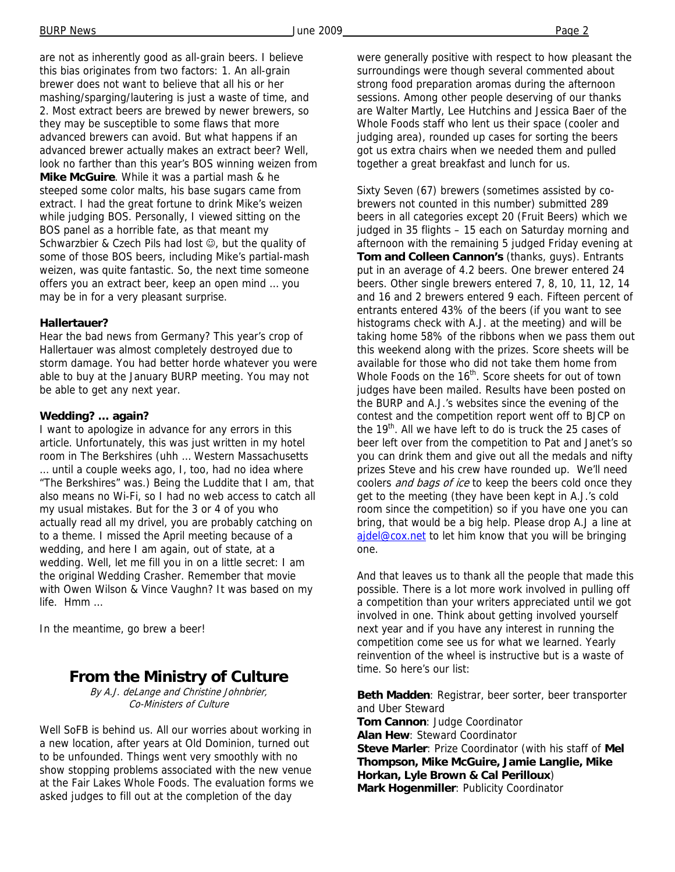are not as inherently good as all-grain beers. I believe this bias originates from two factors: 1. An all-grain brewer does not want to believe that all his or her mashing/sparging/lautering is just a waste of time, and 2. Most extract beers are brewed by newer brewers, so they may be susceptible to some flaws that more advanced brewers can avoid. But what happens if an advanced brewer actually makes an extract beer? Well, look no farther than this year's BOS winning weizen from **Mike McGuire**. While it was a partial mash & he steeped some color malts, his base sugars came from extract. I had the great fortune to drink Mike's weizen while judging BOS. Personally, I viewed sitting on the BOS panel as a horrible fate, as that meant my Schwarzbier & Czech Pils had lost  $\odot$ , but the quality of some of those BOS beers, including Mike's partial-mash weizen, was quite fantastic. So, the next time someone offers you an extract beer, keep an open mind … you may be in for a very pleasant surprise.

#### **Hallertauer?**

Hear the bad news from Germany? This year's crop of Hallertauer was almost completely destroyed due to storm damage. You had better horde whatever you were able to buy at the January BURP meeting. You may not be able to get any next year.

### **Wedding? … again?**

I want to apologize in advance for any errors in this article. Unfortunately, this was just written in my hotel room in The Berkshires (uhh … Western Massachusetts … until a couple weeks ago, I, too, had no idea where "The Berkshires" was.) Being the Luddite that I am, that also means no Wi-Fi, so I had no web access to catch all my usual mistakes. But for the 3 or 4 of you who actually read all my drivel, you are probably catching on to a theme. I missed the April meeting because of a wedding, and here I am again, out of state, at a wedding. Well, let me fill you in on a little secret: I am the original Wedding Crasher. Remember that movie with Owen Wilson & Vince Vaughn? It was based on my life. Hmm …

In the meantime, go brew a beer!

## **From the Ministry of Culture**

By A.J. deLange and Christine Johnbrier, Co-Ministers of Culture

Well SoFB is behind us. All our worries about working in a new location, after years at Old Dominion, turned out to be unfounded. Things went very smoothly with no show stopping problems associated with the new venue at the Fair Lakes Whole Foods. The evaluation forms we asked judges to fill out at the completion of the day

were generally positive with respect to how pleasant the surroundings were though several commented about strong food preparation aromas during the afternoon sessions. Among other people deserving of our thanks are Walter Martly, Lee Hutchins and Jessica Baer of the Whole Foods staff who lent us their space (cooler and judging area), rounded up cases for sorting the beers got us extra chairs when we needed them and pulled together a great breakfast and lunch for us.

Sixty Seven (67) brewers (sometimes assisted by cobrewers not counted in this number) submitted 289 beers in all categories except 20 (Fruit Beers) which we judged in 35 flights – 15 each on Saturday morning and afternoon with the remaining 5 judged Friday evening at **Tom and Colleen Cannon's** (thanks, guys). Entrants put in an average of 4.2 beers. One brewer entered 24 beers. Other single brewers entered 7, 8, 10, 11, 12, 14 and 16 and 2 brewers entered 9 each. Fifteen percent of entrants entered 43% of the beers (if you want to see histograms check with A.J. at the meeting) and will be taking home 58% of the ribbons when we pass them out this weekend along with the prizes. Score sheets will be available for those who did not take them home from Whole Foods on the 16<sup>th</sup>. Score sheets for out of town judges have been mailed. Results have been posted on the BURP and A.J.'s websites since the evening of the contest and the competition report went off to BJCP on the 19<sup>th</sup>. All we have left to do is truck the 25 cases of beer left over from the competition to Pat and Janet's so you can drink them and give out all the medals and nifty prizes Steve and his crew have rounded up. We'll need coolers *and bags of ice* to keep the beers cold once they get to the meeting (they have been kept in A.J.'s cold room since the competition) so if you have one you can bring, that would be a big help. Please drop A.J a line at ajdel@cox.net to let him know that you will be bringing one.

And that leaves us to thank all the people that made this possible. There is a lot more work involved in pulling off a competition than your writers appreciated until we got involved in one. Think about getting involved yourself next year and if you have any interest in running the competition come see us for what we learned. Yearly reinvention of the wheel is instructive but is a waste of time. So here's our list:

**Beth Madden**: Registrar, beer sorter, beer transporter and Uber Steward **Tom Cannon**: Judge Coordinator **Alan Hew**: Steward Coordinator **Steve Marler**: Prize Coordinator (with his staff of **Mel Thompson, Mike McGuire, Jamie Langlie, Mike Horkan, Lyle Brown & Cal Perilloux**) **Mark Hogenmiller**: Publicity Coordinator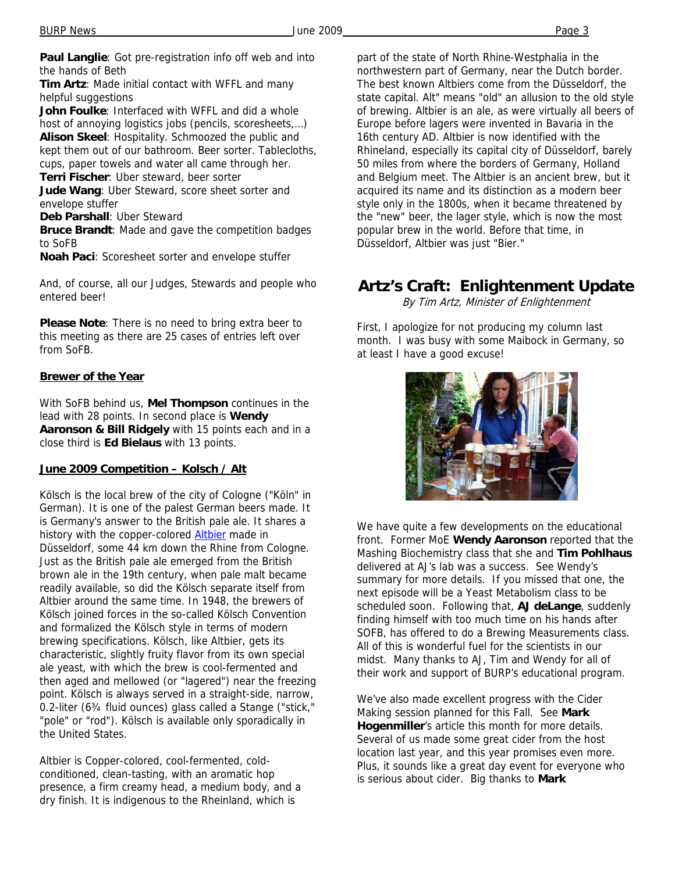**Paul Langlie**: Got pre-registration info off web and into the hands of Beth

**Tim Artz**: Made initial contact with WFFL and many helpful suggestions

**John Foulke**: Interfaced with WFFL and did a whole host of annoying logistics jobs (pencils, scoresheets,…) **Alison Skeel**: Hospitality. Schmoozed the public and kept them out of our bathroom. Beer sorter. Tablecloths, cups, paper towels and water all came through her. **Terri Fischer**: Uber steward, beer sorter

**Jude Wang**: Uber Steward, score sheet sorter and envelope stuffer

**Deb Parshall**: Uber Steward

**Bruce Brandt**: Made and gave the competition badges to SoFB

**Noah Paci**: Scoresheet sorter and envelope stuffer

And, of course, all our Judges, Stewards and people who entered beer!

**Please Note**: There is no need to bring extra beer to this meeting as there are 25 cases of entries left over from SoFB.

### **Brewer of the Year**

With SoFB behind us, **Mel Thompson** continues in the lead with 28 points. In second place is **Wendy Aaronson & Bill Ridgely** with 15 points each and in a close third is **Ed Bielaus** with 13 points.

### **June 2009 Competition – Kolsch / Alt**

Kölsch is the local brew of the city of Cologne ("Köln" in German). It is one of the palest German beers made. It is Germany's answer to the British pale ale. It shares a history with the copper-colored **Altbier** made in Düsseldorf, some 44 km down the Rhine from Cologne. Just as the British pale ale emerged from the British brown ale in the 19th century, when pale malt became readily available, so did the Kölsch separate itself from Altbier around the same time. In 1948, the brewers of Kölsch joined forces in the so-called Kölsch Convention and formalized the Kölsch style in terms of modern brewing specifications. Kölsch, like Altbier, gets its characteristic, slightly fruity flavor from its own special ale yeast, with which the brew is cool-fermented and then aged and mellowed (or "lagered") near the freezing point. Kölsch is always served in a straight-side, narrow, 0.2-liter (6¾ fluid ounces) glass called a Stange ("stick," "pole" or "rod"). Kölsch is available only sporadically in the United States.

Altbier is Copper-colored, cool-fermented, coldconditioned, clean-tasting, with an aromatic hop presence, a firm creamy head, a medium body, and a dry finish. It is indigenous to the Rheinland, which is

part of the state of North Rhine-Westphalia in the northwestern part of Germany, near the Dutch border. The best known Altbiers come from the Düsseldorf, the state capital. Alt" means "old" an allusion to the old style of brewing. Altbier is an ale, as were virtually all beers of Europe before lagers were invented in Bavaria in the 16th century AD. Altbier is now identified with the Rhineland, especially its capital city of Düsseldorf, barely 50 miles from where the borders of Germany, Holland and Belgium meet. The Altbier is an ancient brew, but it acquired its name and its distinction as a modern beer style only in the 1800s, when it became threatened by the "new" beer, the lager style, which is now the most popular brew in the world. Before that time, in Düsseldorf, Altbier was just "Bier."

## **Artz's Craft: Enlightenment Update**

By Tim Artz, Minister of Enlightenment

First, I apologize for not producing my column last month. I was busy with some Maibock in Germany, so at least I have a good excuse!



We have quite a few developments on the educational front. Former MoE **Wendy Aaronson** reported that the Mashing Biochemistry class that she and **Tim Pohlhaus** delivered at AJ's lab was a success. See Wendy's summary for more details. If you missed that one, the next episode will be a Yeast Metabolism class to be scheduled soon. Following that, **AJ deLange**, suddenly finding himself with too much time on his hands after SOFB, has offered to do a Brewing Measurements class. All of this is wonderful fuel for the scientists in our midst. Many thanks to AJ, Tim and Wendy for all of their work and support of BURP's educational program.

We've also made excellent progress with the Cider Making session planned for this Fall. See **Mark Hogenmiller**'s article this month for more details. Several of us made some great cider from the host location last year, and this year promises even more. Plus, it sounds like a great day event for everyone who is serious about cider. Big thanks to **Mark**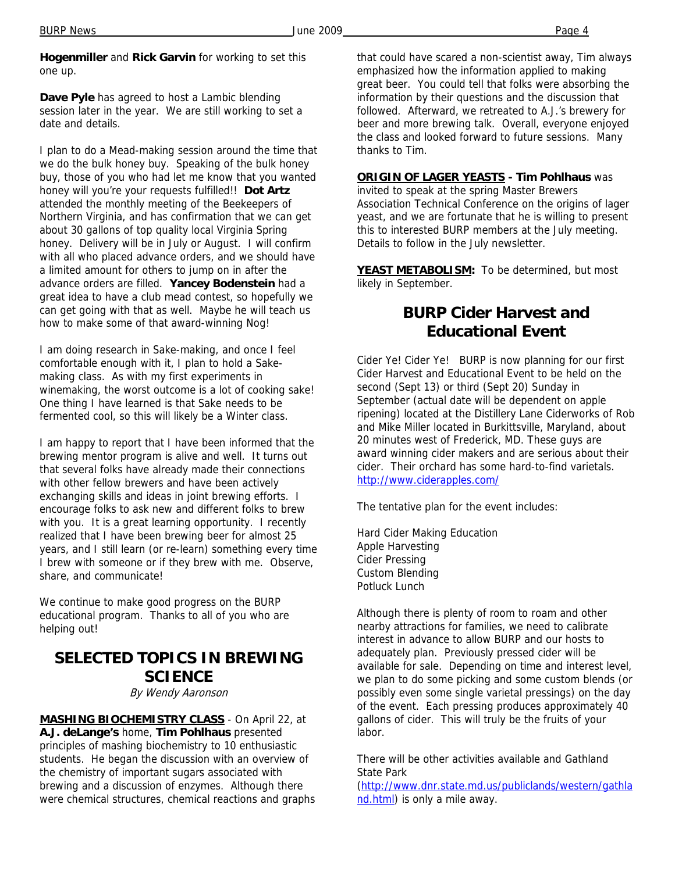**Hogenmiller** and **Rick Garvin** for working to set this one up.

**Dave Pyle** has agreed to host a Lambic blending session later in the year. We are still working to set a date and details.

I plan to do a Mead-making session around the time that we do the bulk honey buy. Speaking of the bulk honey buy, those of you who had let me know that you wanted honey will you're your requests fulfilled!! **Dot Artz** attended the monthly meeting of the Beekeepers of Northern Virginia, and has confirmation that we can get about 30 gallons of top quality local Virginia Spring honey. Delivery will be in July or August. I will confirm with all who placed advance orders, and we should have a limited amount for others to jump on in after the advance orders are filled. **Yancey Bodenstein** had a great idea to have a club mead contest, so hopefully we can get going with that as well. Maybe he will teach us how to make some of that award-winning Nog!

I am doing research in Sake-making, and once I feel comfortable enough with it, I plan to hold a Sakemaking class. As with my first experiments in winemaking, the worst outcome is a lot of cooking sake! One thing I have learned is that Sake needs to be fermented cool, so this will likely be a Winter class.

I am happy to report that I have been informed that the brewing mentor program is alive and well. It turns out that several folks have already made their connections with other fellow brewers and have been actively exchanging skills and ideas in joint brewing efforts. I encourage folks to ask new and different folks to brew with you. It is a great learning opportunity. I recently realized that I have been brewing beer for almost 25 years, and I still learn (or re-learn) something every time I brew with someone or if they brew with me. Observe, share, and communicate!

We continue to make good progress on the BURP educational program. Thanks to all of you who are helping out!

## **SELECTED TOPICS IN BREWING SCIENCE**

By Wendy Aaronson

**MASHING BIOCHEMISTRY CLASS** - On April 22, at **A.J. deLange's** home, **Tim Pohlhaus** presented principles of mashing biochemistry to 10 enthusiastic students. He began the discussion with an overview of the chemistry of important sugars associated with brewing and a discussion of enzymes. Although there were chemical structures, chemical reactions and graphs that could have scared a non-scientist away, Tim always emphasized how the information applied to making great beer. You could tell that folks were absorbing the information by their questions and the discussion that followed. Afterward, we retreated to A.J.'s brewery for beer and more brewing talk. Overall, everyone enjoyed the class and looked forward to future sessions. Many thanks to Tim.

**ORIGIN OF LAGER YEASTS - Tim Pohlhaus** was invited to speak at the spring Master Brewers Association Technical Conference on the origins of lager yeast, and we are fortunate that he is willing to present this to interested BURP members at the July meeting. Details to follow in the July newsletter.

**YEAST METABOLISM:** To be determined, but most likely in September.

# **BURP Cider Harvest and Educational Event**

Cider Ye! Cider Ye! BURP is now planning for our first Cider Harvest and Educational Event to be held on the second (Sept 13) or third (Sept 20) Sunday in September (actual date will be dependent on apple ripening) located at the Distillery Lane Ciderworks of Rob and Mike Miller located in Burkittsville, Maryland, about 20 minutes west of Frederick, MD. These guys are award winning cider makers and are serious about their cider. Their orchard has some hard-to-find varietals. http://www.ciderapples.com/

The tentative plan for the event includes:

Hard Cider Making Education Apple Harvesting Cider Pressing Custom Blending Potluck Lunch

Although there is plenty of room to roam and other nearby attractions for families, we need to calibrate interest in advance to allow BURP and our hosts to adequately plan. Previously pressed cider will be available for sale. Depending on time and interest level, we plan to do some picking and some custom blends (or possibly even some single varietal pressings) on the day of the event. Each pressing produces approximately 40 gallons of cider. This will truly be the fruits of your labor.

There will be other activities available and Gathland State Park

(http://www.dnr.state.md.us/publiclands/western/gathla nd.html) is only a mile away.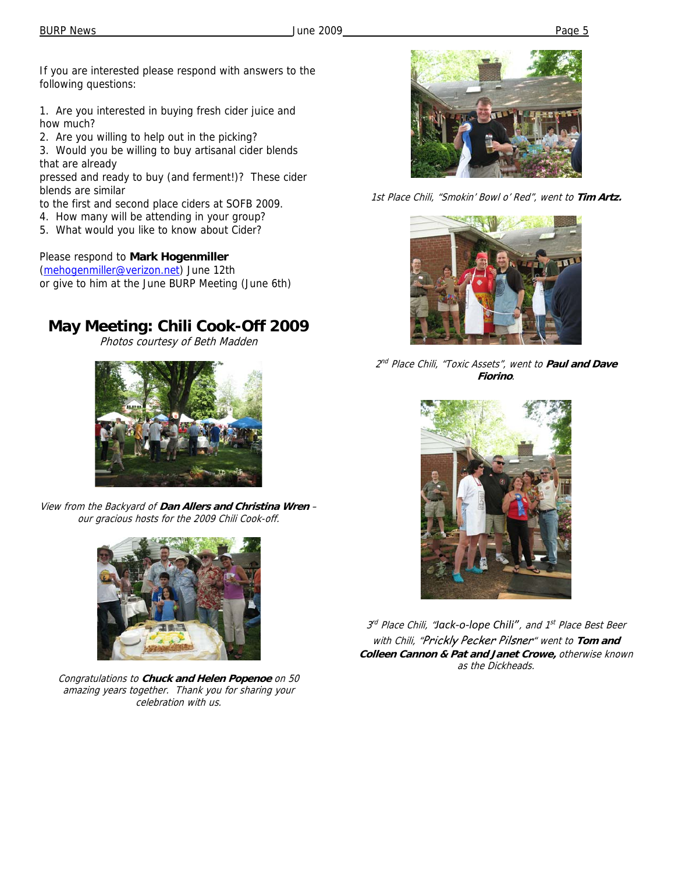If you are interested please respond with answers to the following questions:

1. Are you interested in buying fresh cider juice and how much?

2. Are you willing to help out in the picking?

3. Would you be willing to buy artisanal cider blends that are already

pressed and ready to buy (and ferment!)? These cider blends are similar

- to the first and second place ciders at SOFB 2009.
- 4. How many will be attending in your group?
- 5. What would you like to know about Cider?

### Please respond to **Mark Hogenmiller**

(mehogenmiller@verizon.net) June 12th or give to him at the June BURP Meeting (June 6th)

# **May Meeting: Chili Cook-Off 2009**

Photos courtesy of Beth Madden



View from the Backyard of **Dan Allers and Christina Wren** – our gracious hosts for the 2009 Chili Cook-off.



Congratulations to **Chuck and Helen Popenoe** on 50 amazing years together. Thank you for sharing your celebration with us.



1st Place Chili, "Smokin' Bowl o' Red", went to **Tim Artz.** 



2 nd Place Chili, "Toxic Assets", went to **Paul and Dave Fiorino**.



3 rd Place Chili, "*Jack‐o‐lope Chili"*, and 1st Place Best Beer with Chili, "Prickly Pecker Pilsner" went to **Tom and Colleen Cannon & Pat and Janet Crowe,** otherwise known as the Dickheads.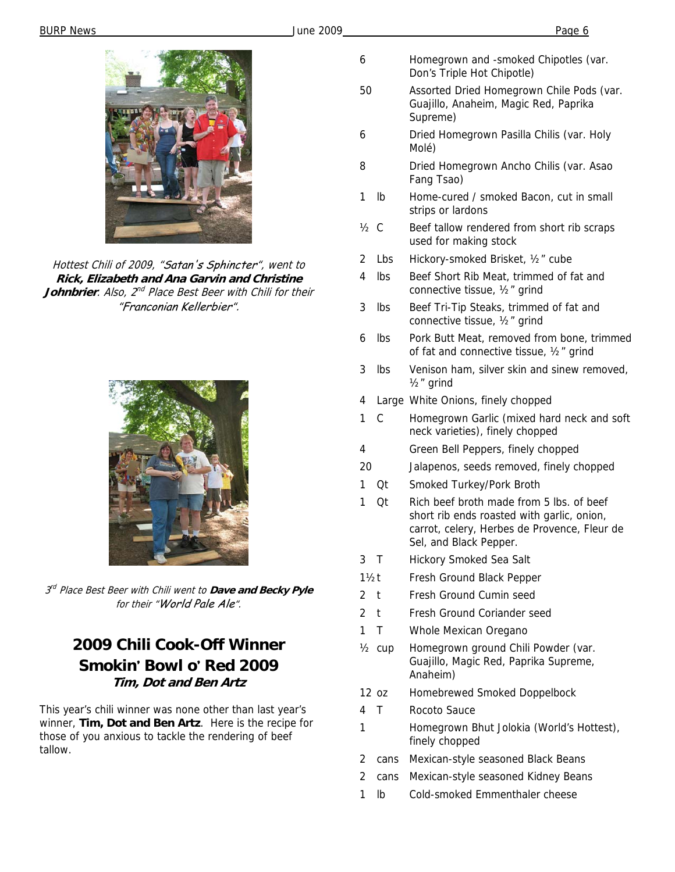

Hottest Chili of 2009, "Satan's Sphincter", went to **Rick, Elizabeth and Ana Garvin and Christine Johnbrier**. Also, 2<sup>nd</sup> Place Best Beer with Chili for their "Franconian Kellerbier".



3 rd Place Best Beer with Chili went to **Dave and Becky Pyle** for their "World Pale Ale".

# **2009 Chili Cook-Off Winner Smokin***'* **Bowl o***'* **Red 2009 Tim, Dot and Ben Artz**

This year's chili winner was none other than last year's winner, **Tim, Dot and Ben Artz**. Here is the recipe for those of you anxious to tackle the rendering of beef tallow.

- 6 Homegrown and -smoked Chipotles (var. Don's Triple Hot Chipotle)
- 50 Assorted Dried Homegrown Chile Pods (var. Guajillo, Anaheim, Magic Red, Paprika Supreme)
- 6 Dried Homegrown Pasilla Chilis (var. Holy Molé)
- 8 Dried Homegrown Ancho Chilis (var. Asao Fang Tsao)
- 1 lb Home-cured / smoked Bacon, cut in small strips or lardons
- $\frac{1}{2}$  C Beef tallow rendered from short rib scraps used for making stock
- 2 Lbs Hickory-smoked Brisket, ½" cube
- 4 lbs Beef Short Rib Meat, trimmed of fat and connective tissue, ½" grind
- 3 lbs Beef Tri-Tip Steaks, trimmed of fat and connective tissue, ½" grind
- 6 lbs Pork Butt Meat, removed from bone, trimmed of fat and connective tissue, ½" grind
- 3 lbs Venison ham, silver skin and sinew removed, ½" grind
- 4 Large White Onions, finely chopped
- 1 C Homegrown Garlic (mixed hard neck and soft neck varieties), finely chopped
- 4 Green Bell Peppers, finely chopped
- 20 Jalapenos, seeds removed, finely chopped
- 1 Qt Smoked Turkey/Pork Broth
- 1 Qt Rich beef broth made from 5 lbs. of beef short rib ends roasted with garlic, onion, carrot, celery, Herbes de Provence, Fleur de Sel, and Black Pepper.
- 3 T Hickory Smoked Sea Salt
- 11/2t Fresh Ground Black Pepper
- 2 t Fresh Ground Cumin seed
- 2 t Fresh Ground Coriander seed
- 1 T Whole Mexican Oregano
- ½ cup Homegrown ground Chili Powder (var. Guajillo, Magic Red, Paprika Supreme, Anaheim)
- 12 oz Homebrewed Smoked Doppelbock
- 4 T Rocoto Sauce
- 1 Homegrown Bhut Jolokia (World's Hottest), finely chopped
- 2 cans Mexican-style seasoned Black Beans
- 2 cans Mexican-style seasoned Kidney Beans
- 1 lb Cold-smoked Emmenthaler cheese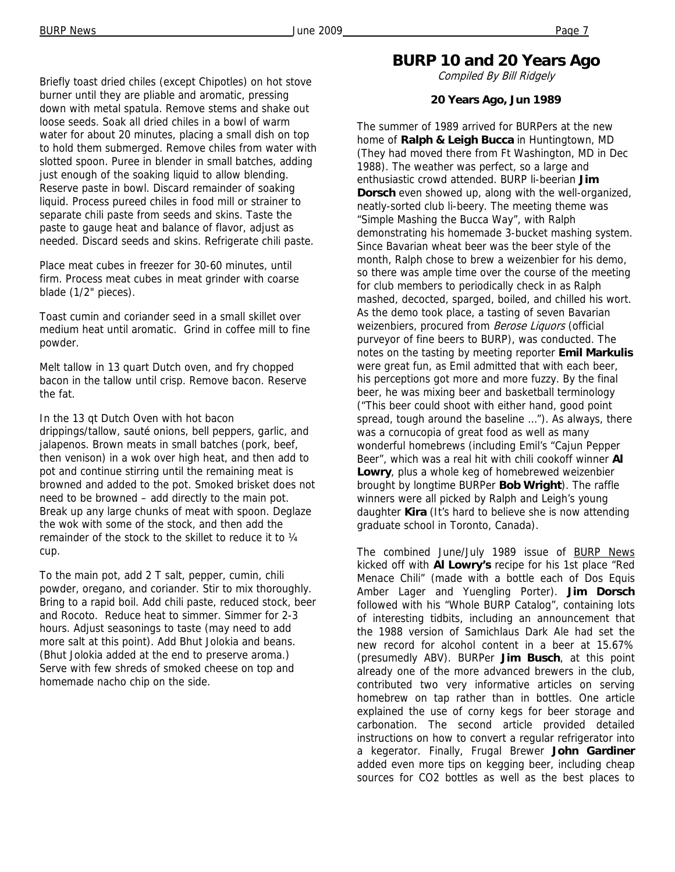Briefly toast dried chiles (except Chipotles) on hot stove burner until they are pliable and aromatic, pressing down with metal spatula. Remove stems and shake out loose seeds. Soak all dried chiles in a bowl of warm water for about 20 minutes, placing a small dish on top to hold them submerged. Remove chiles from water with slotted spoon. Puree in blender in small batches, adding just enough of the soaking liquid to allow blending. Reserve paste in bowl. Discard remainder of soaking liquid. Process pureed chiles in food mill or strainer to separate chili paste from seeds and skins. Taste the paste to gauge heat and balance of flavor, adjust as needed. Discard seeds and skins. Refrigerate chili paste.

Place meat cubes in freezer for 30-60 minutes, until firm. Process meat cubes in meat grinder with coarse blade (1/2" pieces).

Toast cumin and coriander seed in a small skillet over medium heat until aromatic. Grind in coffee mill to fine powder.

Melt tallow in 13 quart Dutch oven, and fry chopped bacon in the tallow until crisp. Remove bacon. Reserve the fat.

In the 13 qt Dutch Oven with hot bacon drippings/tallow, sauté onions, bell peppers, garlic, and jalapenos. Brown meats in small batches (pork, beef, then venison) in a wok over high heat, and then add to pot and continue stirring until the remaining meat is browned and added to the pot. Smoked brisket does not need to be browned – add directly to the main pot. Break up any large chunks of meat with spoon. Deglaze the wok with some of the stock, and then add the remainder of the stock to the skillet to reduce it to ¼ cup.

To the main pot, add 2 T salt, pepper, cumin, chili powder, oregano, and coriander. Stir to mix thoroughly. Bring to a rapid boil. Add chili paste, reduced stock, beer and Rocoto. Reduce heat to simmer. Simmer for 2-3 hours. Adjust seasonings to taste (may need to add more salt at this point). Add Bhut Jolokia and beans. (Bhut Jolokia added at the end to preserve aroma.) Serve with few shreds of smoked cheese on top and homemade nacho chip on the side.

### **BURP 10 and 20 Years Ago**

Compiled By Bill Ridgely

### **20 Years Ago, Jun 1989**

The summer of 1989 arrived for BURPers at the new home of **Ralph & Leigh Bucca** in Huntingtown, MD (They had moved there from Ft Washington, MD in Dec 1988). The weather was perfect, so a large and enthusiastic crowd attended. BURP li-beerian **Jim Dorsch** even showed up, along with the well-organized, neatly-sorted club li-beery. The meeting theme was "Simple Mashing the Bucca Way", with Ralph demonstrating his homemade 3-bucket mashing system. Since Bavarian wheat beer was the beer style of the month, Ralph chose to brew a weizenbier for his demo, so there was ample time over the course of the meeting for club members to periodically check in as Ralph mashed, decocted, sparged, boiled, and chilled his wort. As the demo took place, a tasting of seven Bavarian weizenbiers, procured from Berose Liquors (official purveyor of fine beers to BURP), was conducted. The notes on the tasting by meeting reporter **Emil Markulis**  were great fun, as Emil admitted that with each beer, his perceptions got more and more fuzzy. By the final beer, he was mixing beer and basketball terminology ("This beer could shoot with either hand, good point spread, tough around the baseline …"). As always, there was a cornucopia of great food as well as many wonderful homebrews (including Emil's "Cajun Pepper Beer", which was a real hit with chili cookoff winner **Al Lowry**, plus a whole keg of homebrewed weizenbier brought by longtime BURPer **Bob Wright**). The raffle winners were all picked by Ralph and Leigh's young daughter **Kira** (It's hard to believe she is now attending graduate school in Toronto, Canada).

The combined June/July 1989 issue of BURP News kicked off with **Al Lowry's** recipe for his 1st place "Red Menace Chili" (made with a bottle each of Dos Equis Amber Lager and Yuengling Porter). **Jim Dorsch**  followed with his "Whole BURP Catalog", containing lots of interesting tidbits, including an announcement that the 1988 version of Samichlaus Dark Ale had set the new record for alcohol content in a beer at 15.67% (presumedly ABV). BURPer **Jim Busch**, at this point already one of the more advanced brewers in the club, contributed two very informative articles on serving homebrew on tap rather than in bottles. One article explained the use of corny kegs for beer storage and carbonation. The second article provided detailed instructions on how to convert a regular refrigerator into a kegerator. Finally, Frugal Brewer **John Gardiner**  added even more tips on kegging beer, including cheap sources for CO2 bottles as well as the best places to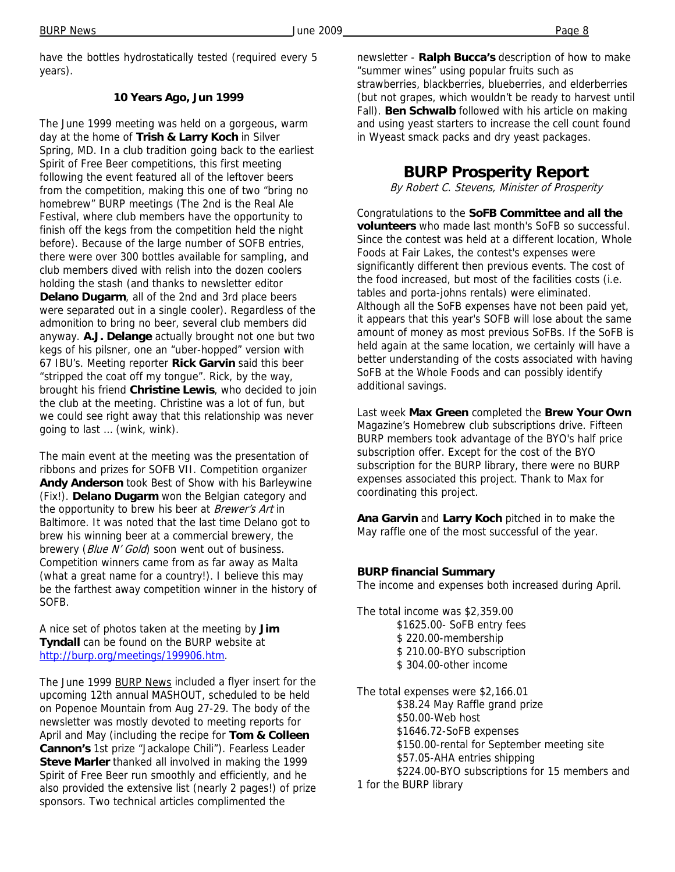have the bottles hydrostatically tested (required every 5 years).

### **10 Years Ago, Jun 1999**

The June 1999 meeting was held on a gorgeous, warm day at the home of **Trish & Larry Koch** in Silver Spring, MD. In a club tradition going back to the earliest Spirit of Free Beer competitions, this first meeting following the event featured all of the leftover beers from the competition, making this one of two "bring no homebrew" BURP meetings (The 2nd is the Real Ale Festival, where club members have the opportunity to finish off the kegs from the competition held the night before). Because of the large number of SOFB entries, there were over 300 bottles available for sampling, and club members dived with relish into the dozen coolers holding the stash (and thanks to newsletter editor **Delano Dugarm**, all of the 2nd and 3rd place beers were separated out in a single cooler). Regardless of the admonition to bring no beer, several club members did anyway. **A.J. Delange** actually brought not one but two kegs of his pilsner, one an "uber-hopped" version with 67 IBU's. Meeting reporter **Rick Garvin** said this beer "stripped the coat off my tongue". Rick, by the way, brought his friend **Christine Lewis**, who decided to join the club at the meeting. Christine was a lot of fun, but we could see right away that this relationship was never going to last … (wink, wink).

The main event at the meeting was the presentation of ribbons and prizes for SOFB VII. Competition organizer **Andy Anderson** took Best of Show with his Barleywine (Fix!). **Delano Dugarm** won the Belgian category and the opportunity to brew his beer at Brewer's Art in Baltimore. It was noted that the last time Delano got to brew his winning beer at a commercial brewery, the brewery (Blue N' Gold) soon went out of business. Competition winners came from as far away as Malta (what a great name for a country!). I believe this may be the farthest away competition winner in the history of SOFB.

A nice set of photos taken at the meeting by **Jim Tyndall** can be found on the BURP website at http://burp.org/meetings/199906.htm.

The June 1999 BURP News included a flyer insert for the upcoming 12th annual MASHOUT, scheduled to be held on Popenoe Mountain from Aug 27-29. The body of the newsletter was mostly devoted to meeting reports for April and May (including the recipe for **Tom & Colleen Cannon's** 1st prize "Jackalope Chili"). Fearless Leader **Steve Marler** thanked all involved in making the 1999 Spirit of Free Beer run smoothly and efficiently, and he also provided the extensive list (nearly 2 pages!) of prize sponsors. Two technical articles complimented the

newsletter - **Ralph Bucca's** description of how to make "summer wines" using popular fruits such as strawberries, blackberries, blueberries, and elderberries (but not grapes, which wouldn't be ready to harvest until Fall). **Ben Schwalb** followed with his article on making and using yeast starters to increase the cell count found in Wyeast smack packs and dry yeast packages.

## **BURP Prosperity Report**

By Robert C. Stevens, Minister of Prosperity

Congratulations to the **SoFB Committee and all the volunteers** who made last month's SoFB so successful. Since the contest was held at a different location, Whole Foods at Fair Lakes, the contest's expenses were significantly different then previous events. The cost of the food increased, but most of the facilities costs (i.e. tables and porta-johns rentals) were eliminated. Although all the SoFB expenses have not been paid yet, it appears that this year's SOFB will lose about the same amount of money as most previous SoFBs. If the SoFB is held again at the same location, we certainly will have a better understanding of the costs associated with having SoFB at the Whole Foods and can possibly identify additional savings.

Last week **Max Green** completed the **Brew Your Own**  Magazine's Homebrew club subscriptions drive. Fifteen BURP members took advantage of the BYO's half price subscription offer. Except for the cost of the BYO subscription for the BURP library, there were no BURP expenses associated this project. Thank to Max for coordinating this project.

**Ana Garvin** and **Larry Koch** pitched in to make the May raffle one of the most successful of the year.

### **BURP financial Summary**

The income and expenses both increased during April.

The total income was \$2,359.00 \$1625.00- SoFB entry fees \$ 220.00-membership \$ 210.00-BYO subscription \$ 304.00-other income

The total expenses were \$2,166.01 \$38.24 May Raffle grand prize \$50.00-Web host \$1646.72-SoFB expenses \$150.00-rental for September meeting site \$57.05-AHA entries shipping \$224.00-BYO subscriptions for 15 members and 1 for the BURP library